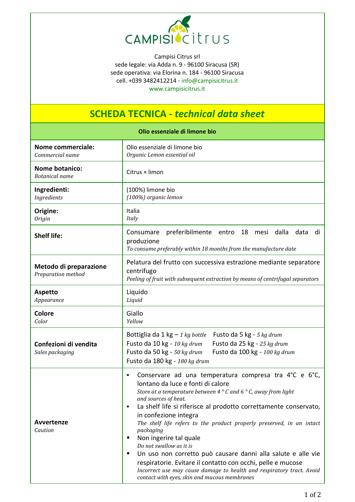

Campisi Citrus srl sede legale: via Adda n. 9 - 96100 Siracusa (SR) sede operativa: via Elorina n. 184 - 96100 Siracusa cell. +039 3482412214 - [info@campisicitrus.it](mailto:info@campisicitrus.it) [www.campisicitrus.it](http://www.campisicitrus.it/)

## **SCHEDA TECNICA -** *technical data sheet*

|                                                | Olio essenziale di limone bio                                                                                                                                                                                                                                                                                                                                                                                                                                                                                                                                                                                                                                                                                                                    |
|------------------------------------------------|--------------------------------------------------------------------------------------------------------------------------------------------------------------------------------------------------------------------------------------------------------------------------------------------------------------------------------------------------------------------------------------------------------------------------------------------------------------------------------------------------------------------------------------------------------------------------------------------------------------------------------------------------------------------------------------------------------------------------------------------------|
| <b>Nome commerciale:</b><br>Commercial name    | Olio essenziale di limone bio<br>Organic Lemon essential oil                                                                                                                                                                                                                                                                                                                                                                                                                                                                                                                                                                                                                                                                                     |
| <b>Nome botanico:</b><br><b>Botanical</b> name | Citrus × limon                                                                                                                                                                                                                                                                                                                                                                                                                                                                                                                                                                                                                                                                                                                                   |
| Ingredienti:<br>Ingredients                    | (100%) limone bio<br>(100%) organic lemon                                                                                                                                                                                                                                                                                                                                                                                                                                                                                                                                                                                                                                                                                                        |
| Origine:<br><b>Origin</b>                      | Italia<br>Italy                                                                                                                                                                                                                                                                                                                                                                                                                                                                                                                                                                                                                                                                                                                                  |
| <b>Shelf life:</b>                             | preferibilmente entro<br>18<br>Consumare<br>mesi dalla<br>data<br>di<br>produzione<br>To consume preferably within 18 months from the manufacture date                                                                                                                                                                                                                                                                                                                                                                                                                                                                                                                                                                                           |
| Metodo di preparazione<br>Preparation method   | Pelatura del frutto con successiva estrazione mediante separatore<br>centrifugo<br>Peeling of fruit with subsequent extraction by means of centrifugal separators                                                                                                                                                                                                                                                                                                                                                                                                                                                                                                                                                                                |
| <b>Aspetto</b><br>Appearance                   | Liquido<br>Liquid                                                                                                                                                                                                                                                                                                                                                                                                                                                                                                                                                                                                                                                                                                                                |
| Colore<br>Color                                | Giallo<br>Yellow                                                                                                                                                                                                                                                                                                                                                                                                                                                                                                                                                                                                                                                                                                                                 |
| Confezioni di vendita<br>Sales packaging       | Bottiglia da 1 kg $-$ 1 kg bottle<br>Fusto da 5 kg - 5 kg drum<br>Fusto da 25 kg - 25 kg drum<br>Fusto da 10 kg - 10 kg drum<br>Fusto da 50 kg - 50 kg drum<br>Fusto da 100 kg - 100 kg drum<br>Fusto da 180 kg - 180 kg drum                                                                                                                                                                                                                                                                                                                                                                                                                                                                                                                    |
| Avvertenze<br>Caution                          | Conservare ad una temperatura compresa tra 4°C e 6°C,<br>$\blacksquare$<br>lontano da luce e fonti di calore<br>Store at a temperature between 4 $^{\circ}$ C and 6 $^{\circ}$ C, away from light<br>and sources of heat.<br>La shelf life si riferisce al prodotto correttamente conservato,<br>$\blacksquare$<br>in confezione integra<br>The shelf life refers to the product properly preserved, in an intact<br>packaging<br>Non ingerire tal quale<br>٠<br>Do not swallow as it is<br>Un uso non corretto può causare danni alla salute e alle vie<br>respiratorie. Evitare il contatto con occhi, pelle e mucose<br>Incorrect use may cause damage to health and respiratory tract. Avoid<br>contact with eyes, skin and mucous membranes |